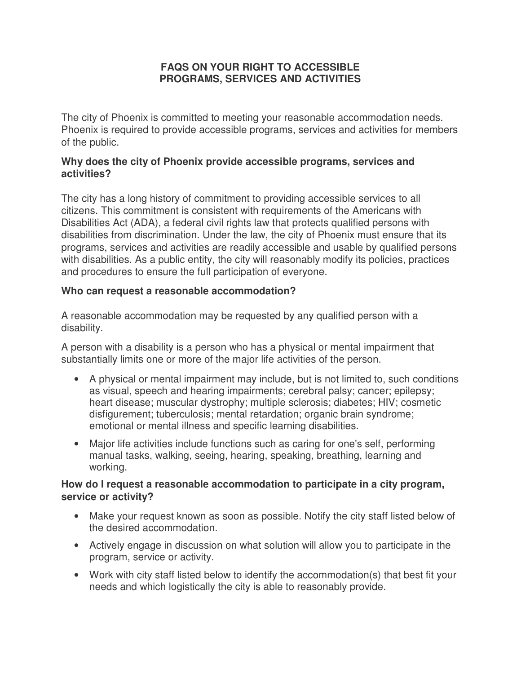# **FAQS ON YOUR RIGHT TO ACCESSIBLE PROGRAMS, SERVICES AND ACTIVITIES**

The city of Phoenix is committed to meeting your reasonable accommodation needs. Phoenix is required to provide accessible programs, services and activities for members of the public.

# **Why does the city of Phoenix provide accessible programs, services and activities?**

The city has a long history of commitment to providing accessible services to all citizens. This commitment is consistent with requirements of the Americans with Disabilities Act (ADA), a federal civil rights law that protects qualified persons with disabilities from discrimination. Under the law, the city of Phoenix must ensure that its programs, services and activities are readily accessible and usable by qualified persons with disabilities. As a public entity, the city will reasonably modify its policies, practices and procedures to ensure the full participation of everyone.

# **Who can request a reasonable accommodation?**

A reasonable accommodation may be requested by any qualified person with a disability.

A person with a disability is a person who has a physical or mental impairment that substantially limits one or more of the major life activities of the person.

- A physical or mental impairment may include, but is not limited to, such conditions as visual, speech and hearing impairments; cerebral palsy; cancer; epilepsy; heart disease; muscular dystrophy; multiple sclerosis; diabetes; HIV; cosmetic disfigurement; tuberculosis; mental retardation; organic brain syndrome; emotional or mental illness and specific learning disabilities.
- Major life activities include functions such as caring for one's self, performing manual tasks, walking, seeing, hearing, speaking, breathing, learning and working.

# **How do I request a reasonable accommodation to participate in a city program, service or activity?**

- Make your request known as soon as possible. Notify the city staff listed below of the desired accommodation.
- Actively engage in discussion on what solution will allow you to participate in the program, service or activity.
- Work with city staff listed below to identify the accommodation(s) that best fit your needs and which logistically the city is able to reasonably provide.